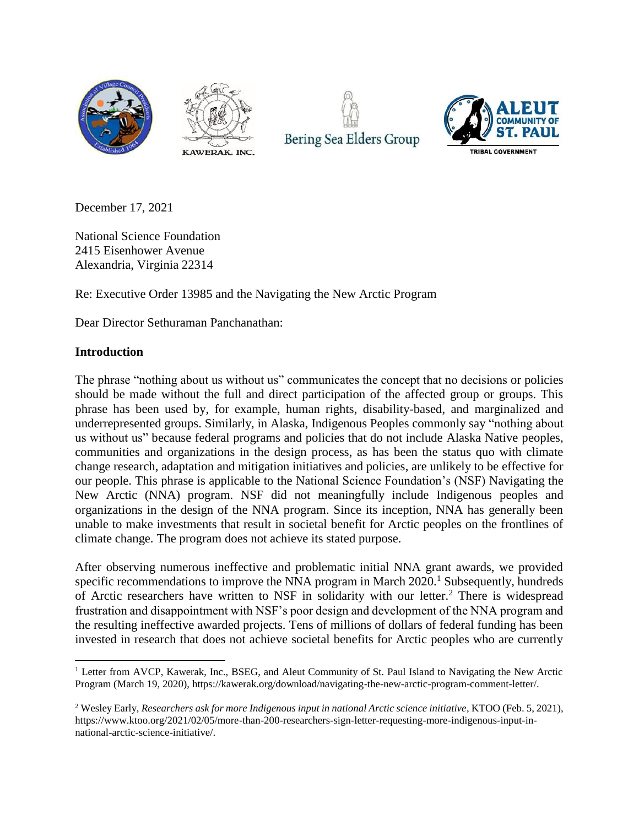







December 17, 2021

National Science Foundation 2415 Eisenhower Avenue Alexandria, Virginia 22314

Re: Executive Order 13985 and the Navigating the New Arctic Program

Dear Director Sethuraman Panchanathan:

### **Introduction**

The phrase "nothing about us without us" communicates the concept that no decisions or policies should be made without the full and direct participation of the affected group or groups. This phrase has been used by, for example, human rights, disability-based, and marginalized and underrepresented groups. Similarly, in Alaska, Indigenous Peoples commonly say "nothing about us without us" because federal programs and policies that do not include Alaska Native peoples, communities and organizations in the design process, as has been the status quo with climate change research, adaptation and mitigation initiatives and policies, are unlikely to be effective for our people. This phrase is applicable to the National Science Foundation's (NSF) Navigating the New Arctic (NNA) program. NSF did not meaningfully include Indigenous peoples and organizations in the design of the NNA program. Since its inception, NNA has generally been unable to make investments that result in societal benefit for Arctic peoples on the frontlines of climate change. The program does not achieve its stated purpose.

After observing numerous ineffective and problematic initial NNA grant awards, we provided specific recommendations to improve the NNA program in March  $2020$ .<sup>1</sup> Subsequently, hundreds of Arctic researchers have written to NSF in solidarity with our letter.<sup>2</sup> There is widespread frustration and disappointment with NSF's poor design and development of the NNA program and the resulting ineffective awarded projects. Tens of millions of dollars of federal funding has been invested in research that does not achieve societal benefits for Arctic peoples who are currently

 <sup>1</sup> Letter from AVCP, Kawerak, Inc., BSEG, and Aleut Community of St. Paul Island to Navigating the New Arctic Program (March 19, 2020), https://kawerak.org/download/navigating-the-new-arctic-program-comment-letter/.

<sup>2</sup> Wesley Early, *Researchers ask for more Indigenous input in national Arctic science initiative*, KTOO (Feb. 5, 2021), https://www.ktoo.org/2021/02/05/more-than-200-researchers-sign-letter-requesting-more-indigenous-input-innational-arctic-science-initiative/.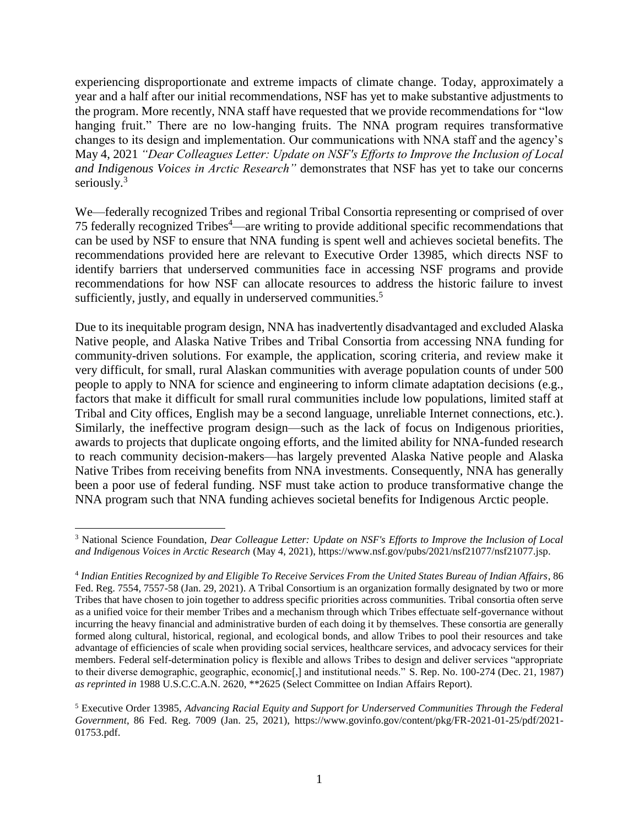experiencing disproportionate and extreme impacts of climate change. Today, approximately a year and a half after our initial recommendations, NSF has yet to make substantive adjustments to the program. More recently, NNA staff have requested that we provide recommendations for "low hanging fruit." There are no low-hanging fruits. The NNA program requires transformative changes to its design and implementation. Our communications with NNA staff and the agency's May 4, 2021 *"Dear Colleagues Letter: Update on NSF's Efforts to Improve the Inclusion of Local and Indigenous Voices in Arctic Research"* demonstrates that NSF has yet to take our concerns seriously. $3$ 

We—federally recognized Tribes and regional Tribal Consortia representing or comprised of over 75 federally recognized Tribes<sup>4</sup>—are writing to provide additional specific recommendations that can be used by NSF to ensure that NNA funding is spent well and achieves societal benefits. The recommendations provided here are relevant to Executive Order 13985, which directs NSF to identify barriers that underserved communities face in accessing NSF programs and provide recommendations for how NSF can allocate resources to address the historic failure to invest sufficiently, justly, and equally in underserved communities.<sup>5</sup>

Due to its inequitable program design, NNA has inadvertently disadvantaged and excluded Alaska Native people, and Alaska Native Tribes and Tribal Consortia from accessing NNA funding for community-driven solutions. For example, the application, scoring criteria, and review make it very difficult, for small, rural Alaskan communities with average population counts of under 500 people to apply to NNA for science and engineering to inform climate adaptation decisions (e.g., factors that make it difficult for small rural communities include low populations, limited staff at Tribal and City offices, English may be a second language, unreliable Internet connections, etc.). Similarly, the ineffective program design—such as the lack of focus on Indigenous priorities, awards to projects that duplicate ongoing efforts, and the limited ability for NNA-funded research to reach community decision-makers—has largely prevented Alaska Native people and Alaska Native Tribes from receiving benefits from NNA investments. Consequently, NNA has generally been a poor use of federal funding. NSF must take action to produce transformative change the NNA program such that NNA funding achieves societal benefits for Indigenous Arctic people.

 $\overline{a}$ <sup>3</sup> National Science Foundation, *Dear Colleague Letter: Update on NSF's Efforts to Improve the Inclusion of Local and Indigenous Voices in Arctic Research* (May 4, 2021), https://www.nsf.gov/pubs/2021/nsf21077/nsf21077.jsp.

<sup>4</sup> *Indian Entities Recognized by and Eligible To Receive Services From the United States Bureau of Indian Affairs*, 86 Fed. Reg. 7554, 7557-58 (Jan. 29, 2021). A Tribal Consortium is an organization formally designated by two or more Tribes that have chosen to join together to address specific priorities across communities. Tribal consortia often serve as a unified voice for their member Tribes and a mechanism through which Tribes effectuate self-governance without incurring the heavy financial and administrative burden of each doing it by themselves. These consortia are generally formed along cultural, historical, regional, and ecological bonds, and allow Tribes to pool their resources and take advantage of efficiencies of scale when providing social services, healthcare services, and advocacy services for their members. Federal self-determination policy is flexible and allows Tribes to design and deliver services "appropriate to their diverse demographic, geographic, economic[,] and institutional needs." S. Rep. No. 100-274 (Dec. 21, 1987) *as reprinted in* 1988 U.S.C.C.A.N. 2620, \*\*2625 (Select Committee on Indian Affairs Report).

<sup>5</sup> Executive Order 13985, *Advancing Racial Equity and Support for Underserved Communities Through the Federal Government*, 86 Fed. Reg. 7009 (Jan. 25, 2021), https://www.govinfo.gov/content/pkg/FR-2021-01-25/pdf/2021- 01753.pdf.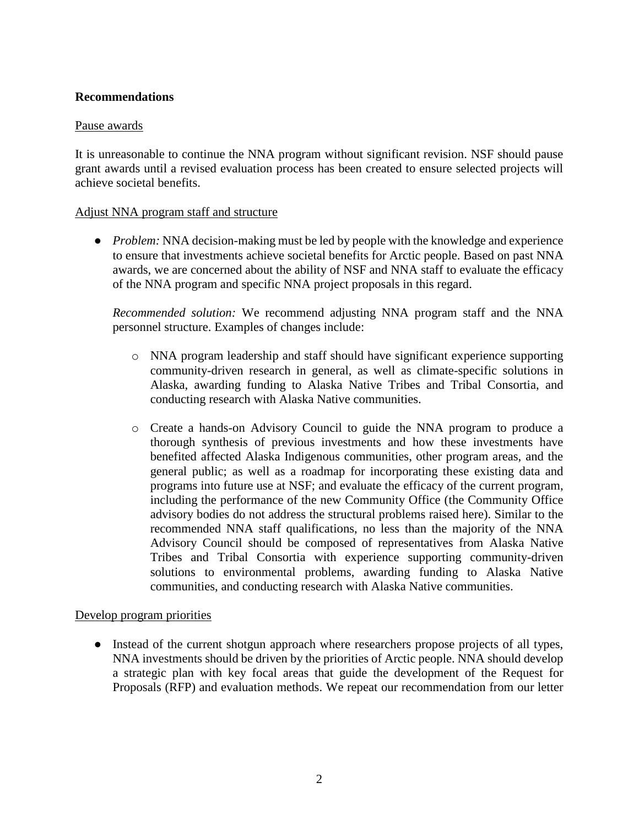## **Recommendations**

### Pause awards

It is unreasonable to continue the NNA program without significant revision. NSF should pause grant awards until a revised evaluation process has been created to ensure selected projects will achieve societal benefits.

#### Adjust NNA program staff and structure

• *Problem:* NNA decision-making must be led by people with the knowledge and experience to ensure that investments achieve societal benefits for Arctic people. Based on past NNA awards, we are concerned about the ability of NSF and NNA staff to evaluate the efficacy of the NNA program and specific NNA project proposals in this regard.

*Recommended solution:* We recommend adjusting NNA program staff and the NNA personnel structure. Examples of changes include:

- o NNA program leadership and staff should have significant experience supporting community-driven research in general, as well as climate-specific solutions in Alaska, awarding funding to Alaska Native Tribes and Tribal Consortia, and conducting research with Alaska Native communities.
- o Create a hands-on Advisory Council to guide the NNA program to produce a thorough synthesis of previous investments and how these investments have benefited affected Alaska Indigenous communities, other program areas, and the general public; as well as a roadmap for incorporating these existing data and programs into future use at NSF; and evaluate the efficacy of the current program, including the performance of the new Community Office (the Community Office advisory bodies do not address the structural problems raised here). Similar to the recommended NNA staff qualifications, no less than the majority of the NNA Advisory Council should be composed of representatives from Alaska Native Tribes and Tribal Consortia with experience supporting community-driven solutions to environmental problems, awarding funding to Alaska Native communities, and conducting research with Alaska Native communities.

### Develop program priorities

• Instead of the current shotgun approach where researchers propose projects of all types, NNA investments should be driven by the priorities of Arctic people. NNA should develop a strategic plan with key focal areas that guide the development of the Request for Proposals (RFP) and evaluation methods. We repeat our recommendation from our letter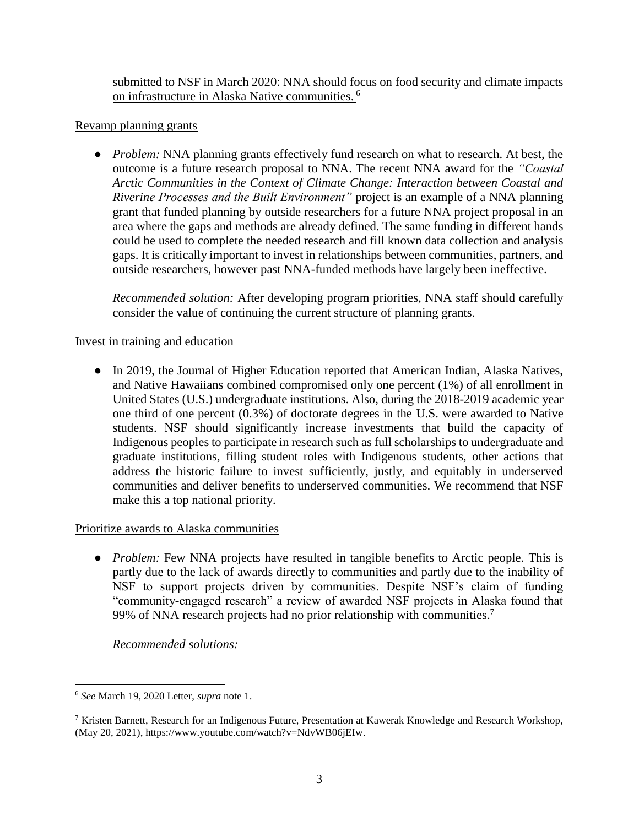submitted to NSF in March 2020: NNA should focus on food security and climate impacts on infrastructure in Alaska Native communities. <sup>6</sup>

## Revamp planning grants

• *Problem:* NNA planning grants effectively fund research on what to research. At best, the outcome is a future research proposal to NNA. The recent NNA award for the *"Coastal Arctic Communities in the Context of Climate Change: Interaction between Coastal and Riverine Processes and the Built Environment"* project is an example of a NNA planning grant that funded planning by outside researchers for a future NNA project proposal in an area where the gaps and methods are already defined. The same funding in different hands could be used to complete the needed research and fill known data collection and analysis gaps. It is critically important to invest in relationships between communities, partners, and outside researchers, however past NNA-funded methods have largely been ineffective.

*Recommended solution:* After developing program priorities, NNA staff should carefully consider the value of continuing the current structure of planning grants.

### Invest in training and education

• In 2019, the Journal of Higher Education reported that American Indian, Alaska Natives, and Native Hawaiians combined compromised only one percent (1%) of all enrollment in United States (U.S.) undergraduate institutions. Also, during the 2018-2019 academic year one third of one percent (0.3%) of doctorate degrees in the U.S. were awarded to Native students. NSF should significantly increase investments that build the capacity of Indigenous peoples to participate in research such as full scholarships to undergraduate and graduate institutions, filling student roles with Indigenous students, other actions that address the historic failure to invest sufficiently, justly, and equitably in underserved communities and deliver benefits to underserved communities. We recommend that NSF make this a top national priority.

### Prioritize awards to Alaska communities

• *Problem:* Few NNA projects have resulted in tangible benefits to Arctic people. This is partly due to the lack of awards directly to communities and partly due to the inability of NSF to support projects driven by communities. Despite NSF's claim of funding "community-engaged research" a review of awarded NSF projects in Alaska found that 99% of NNA research projects had no prior relationship with communities.<sup>7</sup>

*Recommended solutions:*

 $\overline{a}$ 

<sup>6</sup> *See* March 19, 2020 Letter, *supra* note 1.

<sup>7</sup> Kristen Barnett, Research for an Indigenous Future, Presentation at Kawerak Knowledge and Research Workshop, (May 20, 2021), https://www.youtube.com/watch?v=NdvWB06jEIw.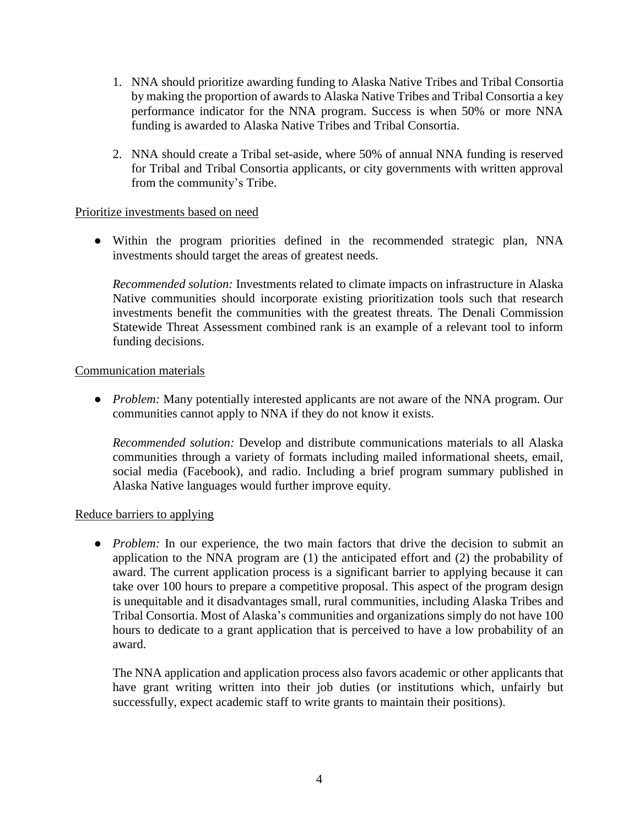- 1. NNA should prioritize awarding funding to Alaska Native Tribes and Tribal Consortia by making the proportion of awards to Alaska Native Tribes and Tribal Consortia a key performance indicator for the NNA program. Success is when 50% or more NNA funding is awarded to Alaska Native Tribes and Tribal Consortia.
- 2. NNA should create a Tribal set-aside, where 50% of annual NNA funding is reserved for Tribal and Tribal Consortia applicants, or city governments with written approval from the community's Tribe.

### Prioritize investments based on need

● Within the program priorities defined in the recommended strategic plan, NNA investments should target the areas of greatest needs.

*Recommended solution:* Investments related to climate impacts on infrastructure in Alaska Native communities should incorporate existing prioritization tools such that research investments benefit the communities with the greatest threats. The Denali Commission Statewide Threat Assessment combined rank is an example of a relevant tool to inform funding decisions.

### Communication materials

● *Problem:* Many potentially interested applicants are not aware of the NNA program. Our communities cannot apply to NNA if they do not know it exists.

*Recommended solution:* Develop and distribute communications materials to all Alaska communities through a variety of formats including mailed informational sheets, email, social media (Facebook), and radio. Including a brief program summary published in Alaska Native languages would further improve equity.

# Reduce barriers to applying

• *Problem:* In our experience, the two main factors that drive the decision to submit an application to the NNA program are (1) the anticipated effort and (2) the probability of award. The current application process is a significant barrier to applying because it can take over 100 hours to prepare a competitive proposal. This aspect of the program design is unequitable and it disadvantages small, rural communities, including Alaska Tribes and Tribal Consortia. Most of Alaska's communities and organizations simply do not have 100 hours to dedicate to a grant application that is perceived to have a low probability of an award.

The NNA application and application process also favors academic or other applicants that have grant writing written into their job duties (or institutions which, unfairly but successfully, expect academic staff to write grants to maintain their positions).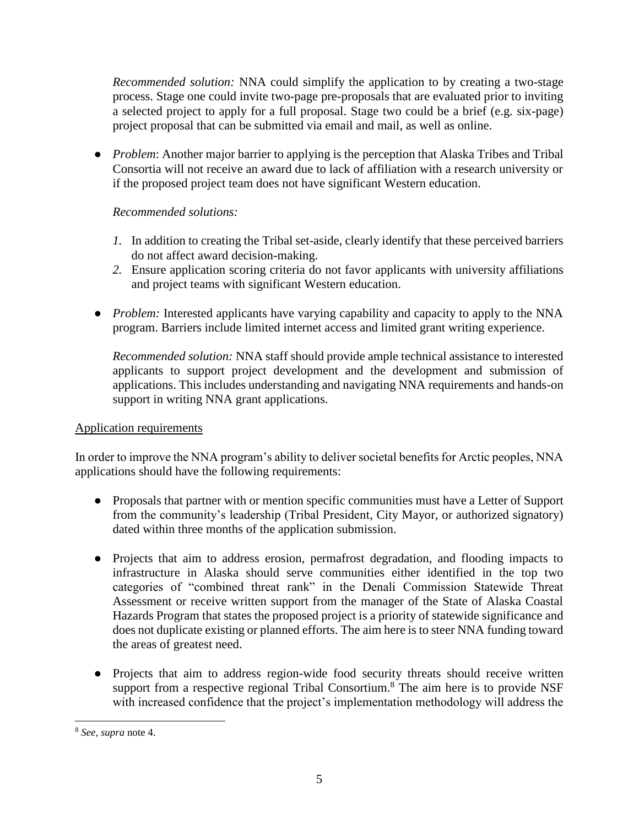*Recommended solution:* NNA could simplify the application to by creating a two-stage process. Stage one could invite two-page pre-proposals that are evaluated prior to inviting a selected project to apply for a full proposal. Stage two could be a brief (e.g. six-page) project proposal that can be submitted via email and mail, as well as online.

● *Problem*: Another major barrier to applying is the perception that Alaska Tribes and Tribal Consortia will not receive an award due to lack of affiliation with a research university or if the proposed project team does not have significant Western education.

# *Recommended solutions:*

- *1.* In addition to creating the Tribal set-aside, clearly identify that these perceived barriers do not affect award decision-making.
- *2.* Ensure application scoring criteria do not favor applicants with university affiliations and project teams with significant Western education.
- *Problem:* Interested applicants have varying capability and capacity to apply to the NNA program. Barriers include limited internet access and limited grant writing experience.

*Recommended solution:* NNA staff should provide ample technical assistance to interested applicants to support project development and the development and submission of applications. This includes understanding and navigating NNA requirements and hands-on support in writing NNA grant applications.

# Application requirements

In order to improve the NNA program's ability to deliver societal benefits for Arctic peoples, NNA applications should have the following requirements:

- Proposals that partner with or mention specific communities must have a Letter of Support from the community's leadership (Tribal President, City Mayor, or authorized signatory) dated within three months of the application submission.
- Projects that aim to address erosion, permafrost degradation, and flooding impacts to infrastructure in Alaska should serve communities either identified in the top two categories of "combined threat rank" in the Denali Commission Statewide Threat Assessment or receive written support from the manager of the State of Alaska Coastal Hazards Program that states the proposed project is a priority of statewide significance and does not duplicate existing or planned efforts. The aim here is to steer NNA funding toward the areas of greatest need.
- Projects that aim to address region-wide food security threats should receive written support from a respective regional Tribal Consortium.<sup>8</sup> The aim here is to provide NSF with increased confidence that the project's implementation methodology will address the

 <sup>8</sup> *See, supra* note 4.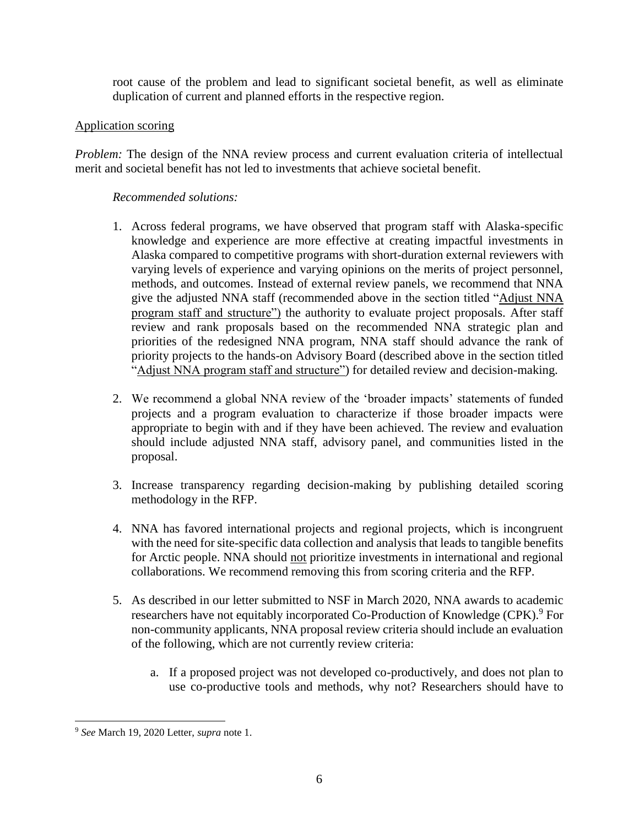root cause of the problem and lead to significant societal benefit, as well as eliminate duplication of current and planned efforts in the respective region.

### Application scoring

*Problem:* The design of the NNA review process and current evaluation criteria of intellectual merit and societal benefit has not led to investments that achieve societal benefit.

## *Recommended solutions:*

- 1. Across federal programs, we have observed that program staff with Alaska-specific knowledge and experience are more effective at creating impactful investments in Alaska compared to competitive programs with short-duration external reviewers with varying levels of experience and varying opinions on the merits of project personnel, methods, and outcomes. Instead of external review panels, we recommend that NNA give the adjusted NNA staff (recommended above in the section titled "Adjust NNA program staff and structure") the authority to evaluate project proposals. After staff review and rank proposals based on the recommended NNA strategic plan and priorities of the redesigned NNA program, NNA staff should advance the rank of priority projects to the hands-on Advisory Board (described above in the section titled "Adjust NNA program staff and structure") for detailed review and decision-making.
- 2. We recommend a global NNA review of the 'broader impacts' statements of funded projects and a program evaluation to characterize if those broader impacts were appropriate to begin with and if they have been achieved. The review and evaluation should include adjusted NNA staff, advisory panel, and communities listed in the proposal.
- 3. Increase transparency regarding decision-making by publishing detailed scoring methodology in the RFP.
- 4. NNA has favored international projects and regional projects, which is incongruent with the need for site-specific data collection and analysis that leads to tangible benefits for Arctic people. NNA should not prioritize investments in international and regional collaborations. We recommend removing this from scoring criteria and the RFP.
- 5. As described in our letter submitted to NSF in March 2020, NNA awards to academic researchers have not equitably incorporated Co-Production of Knowledge (CPK).<sup>9</sup> For non-community applicants, NNA proposal review criteria should include an evaluation of the following, which are not currently review criteria:
	- a. If a proposed project was not developed co-productively, and does not plan to use co-productive tools and methods, why not? Researchers should have to

 <sup>9</sup> *See* March 19, 2020 Letter, *supra* note 1.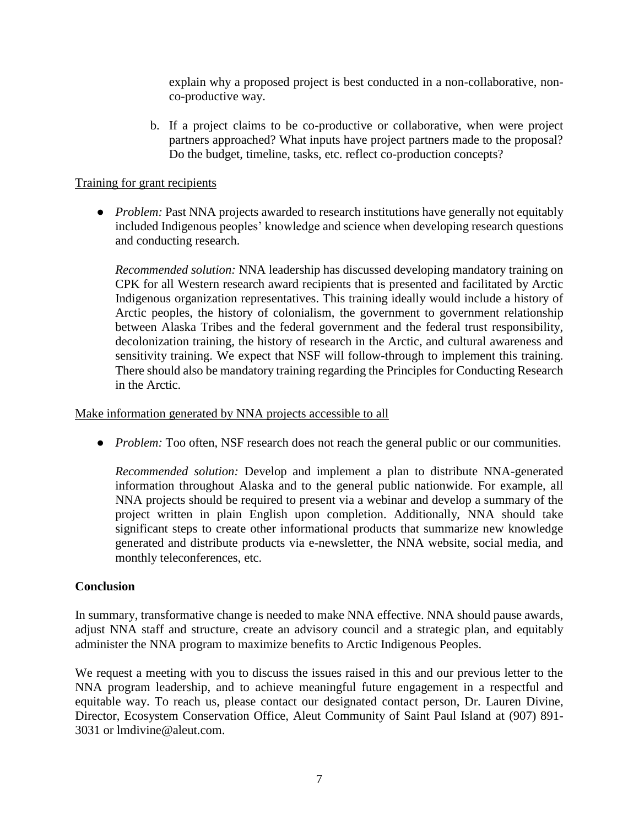explain why a proposed project is best conducted in a non-collaborative, nonco-productive way.

b. If a project claims to be co-productive or collaborative, when were project partners approached? What inputs have project partners made to the proposal? Do the budget, timeline, tasks, etc. reflect co-production concepts?

### Training for grant recipients

• *Problem:* Past NNA projects awarded to research institutions have generally not equitably included Indigenous peoples' knowledge and science when developing research questions and conducting research.

*Recommended solution:* NNA leadership has discussed developing mandatory training on CPK for all Western research award recipients that is presented and facilitated by Arctic Indigenous organization representatives. This training ideally would include a history of Arctic peoples, the history of colonialism, the government to government relationship between Alaska Tribes and the federal government and the federal trust responsibility, decolonization training, the history of research in the Arctic, and cultural awareness and sensitivity training. We expect that NSF will follow-through to implement this training. There should also be mandatory training regarding the Principles for Conducting Research in the Arctic.

Make information generated by NNA projects accessible to all

• *Problem:* Too often, NSF research does not reach the general public or our communities.

*Recommended solution:* Develop and implement a plan to distribute NNA-generated information throughout Alaska and to the general public nationwide. For example, all NNA projects should be required to present via a webinar and develop a summary of the project written in plain English upon completion. Additionally, NNA should take significant steps to create other informational products that summarize new knowledge generated and distribute products via e-newsletter, the NNA website, social media, and monthly teleconferences, etc.

### **Conclusion**

In summary, transformative change is needed to make NNA effective. NNA should pause awards, adjust NNA staff and structure, create an advisory council and a strategic plan, and equitably administer the NNA program to maximize benefits to Arctic Indigenous Peoples.

We request a meeting with you to discuss the issues raised in this and our previous letter to the NNA program leadership, and to achieve meaningful future engagement in a respectful and equitable way. To reach us, please contact our designated contact person, Dr. Lauren Divine, Director, Ecosystem Conservation Office, Aleut Community of Saint Paul Island at (907) 891- 3031 or lmdivine@aleut.com.